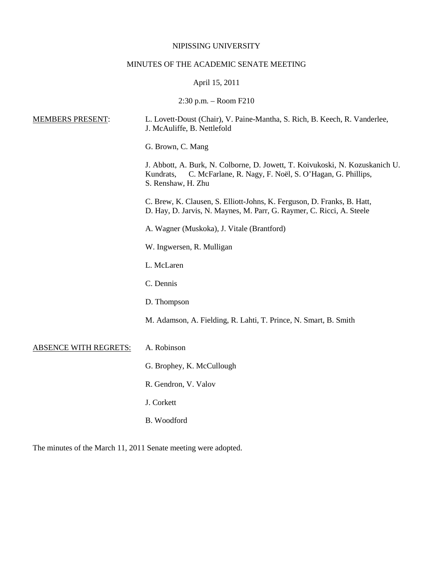# NIPISSING UNIVERSITY

# MINUTES OF THE ACADEMIC SENATE MEETING

# April 15, 2011

2:30 p.m. – Room F210

| <b>MEMBERS PRESENT:</b>      | L. Lovett-Doust (Chair), V. Paine-Mantha, S. Rich, B. Keech, R. Vanderlee,<br>J. McAuliffe, B. Nettlefold                                                                   |
|------------------------------|-----------------------------------------------------------------------------------------------------------------------------------------------------------------------------|
|                              | G. Brown, C. Mang                                                                                                                                                           |
|                              | J. Abbott, A. Burk, N. Colborne, D. Jowett, T. Koivukoski, N. Kozuskanich U.<br>C. McFarlane, R. Nagy, F. Noël, S. O'Hagan, G. Phillips,<br>Kundrats,<br>S. Renshaw, H. Zhu |
|                              | C. Brew, K. Clausen, S. Elliott-Johns, K. Ferguson, D. Franks, B. Hatt,<br>D. Hay, D. Jarvis, N. Maynes, M. Parr, G. Raymer, C. Ricci, A. Steele                            |
|                              | A. Wagner (Muskoka), J. Vitale (Brantford)                                                                                                                                  |
|                              | W. Ingwersen, R. Mulligan                                                                                                                                                   |
|                              | L. McLaren                                                                                                                                                                  |
|                              | C. Dennis                                                                                                                                                                   |
|                              | D. Thompson                                                                                                                                                                 |
|                              | M. Adamson, A. Fielding, R. Lahti, T. Prince, N. Smart, B. Smith                                                                                                            |
| <b>ABSENCE WITH REGRETS:</b> | A. Robinson                                                                                                                                                                 |
|                              | G. Brophey, K. McCullough                                                                                                                                                   |
|                              | R. Gendron, V. Valov                                                                                                                                                        |
|                              | J. Corkett                                                                                                                                                                  |
|                              | B. Woodford                                                                                                                                                                 |
|                              |                                                                                                                                                                             |

The minutes of the March 11, 2011 Senate meeting were adopted.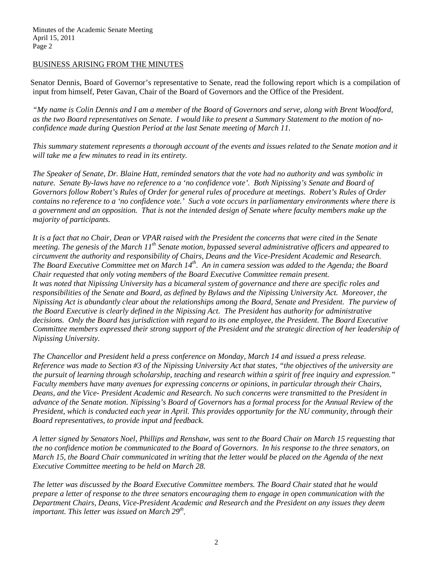# BUSINESS ARISING FROM THE MINUTES

Senator Dennis, Board of Governor's representative to Senate, read the following report which is a compilation of input from himself, Peter Gavan, Chair of the Board of Governors and the Office of the President.

*"My name is Colin Dennis and I am a member of the Board of Governors and serve, along with Brent Woodford, as the two Board representatives on Senate. I would like to present a Summary Statement to the motion of noconfidence made during Question Period at the last Senate meeting of March 11.* 

*This summary statement represents a thorough account of the events and issues related to the Senate motion and it will take me a few minutes to read in its entirety.* 

*The Speaker of Senate, Dr. Blaine Hatt, reminded senators that the vote had no authority and was symbolic in nature. Senate By-laws have no reference to a 'no confidence vote'. Both Nipissing's Senate and Board of Governors follow Robert's Rules of Order for general rules of procedure at meetings. Robert's Rules of Order contains no reference to a 'no confidence vote.' Such a vote occurs in parliamentary environments where there is a government and an opposition. That is not the intended design of Senate where faculty members make up the majority of participants.*

*It is a fact that no Chair, Dean or VPAR raised with the President the concerns that were cited in the Senate meeting. The genesis of the March 11th Senate motion, bypassed several administrative officers and appeared to circumvent the authority and responsibility of Chairs, Deans and the Vice-President Academic and Research. The Board Executive Committee met on March 14<sup>th</sup>. An in camera session was added to the Agenda; the Board Chair requested that only voting members of the Board Executive Committee remain present. It was noted that Nipissing University has a bicameral system of governance and there are specific roles and*  responsibilities of the Senate and Board, as defined by Bylaws and the Nipissing University Act. Moreover, the *Nipissing Act is abundantly clear about the relationships among the Board, Senate and President. The purview of the Board Executive is clearly defined in the Nipissing Act. The President has authority for administrative decisions. Only the Board has jurisdiction with regard to its one employee, the President. The Board Executive Committee members expressed their strong support of the President and the strategic direction of her leadership of Nipissing University.* 

*The Chancellor and President held a press conference on Monday, March 14 and issued a press release. Reference was made to Section #3 of the Nipissing University Act that states, "the objectives of the university are the pursuit of learning through scholarship, teaching and research within a spirit of free inquiry and expression." Faculty members have many avenues for expressing concerns or opinions, in particular through their Chairs, Deans, and the Vice- President Academic and Research. No such concerns were transmitted to the President in advance of the Senate motion. Nipissing's Board of Governors has a formal process for the Annual Review of the President, which is conducted each year in April. This provides opportunity for the NU community, through their Board representatives, to provide input and feedback.* 

*A letter signed by Senators Noel, Phillips and Renshaw, was sent to the Board Chair on March 15 requesting that the no confidence motion be communicated to the Board of Governors. In his response to the three senators, on March 15, the Board Chair communicated in writing that the letter would be placed on the Agenda of the next Executive Committee meeting to be held on March 28.* 

*The letter was discussed by the Board Executive Committee members. The Board Chair stated that he would prepare a letter of response to the three senators encouraging them to engage in open communication with the Department Chairs, Deans, Vice-President Academic and Research and the President on any issues they deem important. This letter was issued on March 29<sup>th</sup>.*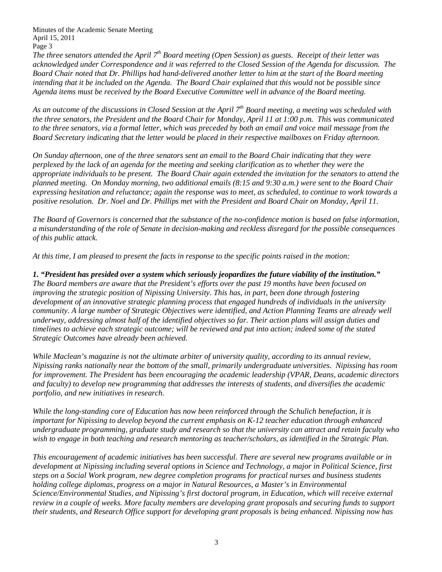*The three senators attended the April*  $7<sup>th</sup>$  *Board meeting (Open Session) as guests. Receipt of their letter was acknowledged under Correspondence and it was referred to the Closed Session of the Agenda for discussion. The Board Chair noted that Dr. Phillips had hand-delivered another letter to him at the start of the Board meeting intending that it be included on the Agenda. The Board Chair explained that this would not be possible since Agenda items must be received by the Board Executive Committee well in advance of the Board meeting.* 

*As an outcome of the discussions in Closed Session at the April 7th Board meeting, a meeting was scheduled with the three senators, the President and the Board Chair for Monday, April 11 at 1:00 p.m. This was communicated to the three senators, via a formal letter, which was preceded by both an email and voice mail message from the Board Secretary indicating that the letter would be placed in their respective mailboxes on Friday afternoon.*

*On Sunday afternoon, one of the three senators sent an email to the Board Chair indicating that they were perplexed by the lack of an agenda for the meeting and seeking clarification as to whether they were the appropriate individuals to be present. The Board Chair again extended the invitation for the senators to attend the planned meeting. On Monday morning, two additional emails (8:15 and 9:30 a.m.) were sent to the Board Chair expressing hesitation and reluctance; again the response was to meet, as scheduled, to continue to work towards a positive resolution. Dr. Noel and Dr. Phillips met with the President and Board Chair on Monday, April 11.*

*The Board of Governors is concerned that the substance of the no-confidence motion is based on false information, a misunderstanding of the role of Senate in decision-making and reckless disregard for the possible consequences of this public attack.* 

*At this time, I am pleased to present the facts in response to the specific points raised in the motion:*

*1. "President has presided over a system which seriously jeopardizes the future viability of the institution." The Board members are aware that the President's efforts over the past 19 months have been focused on improving the strategic position of Nipissing University. This has, in part, been done through fostering development of an innovative strategic planning process that engaged hundreds of individuals in the university community. A large number of Strategic Objectives were identified, and Action Planning Teams are already well underway, addressing almost half of the identified objectives so far. Their action plans will assign duties and timelines to achieve each strategic outcome; will be reviewed and put into action; indeed some of the stated Strategic Outcomes have already been achieved.*

*While Maclean's magazine is not the ultimate arbiter of university quality, according to its annual review, Nipissing ranks nationally near the bottom of the small, primarily undergraduate universities. Nipissing has room for improvement. The President has been encouraging the academic leadership (VPAR, Deans, academic directors and faculty) to develop new programming that addresses the interests of students, and diversifies the academic portfolio, and new initiatives in research.* 

*While the long-standing core of Education has now been reinforced through the Schulich benefaction, it is important for Nipissing to develop beyond the current emphasis on K-12 teacher education through enhanced undergraduate programming, graduate study and research so that the university can attract and retain faculty who wish to engage in both teaching and research mentoring as teacher/scholars, as identified in the Strategic Plan.*

*This encouragement of academic initiatives has been successful. There are several new programs available or in development at Nipissing including several options in Science and Technology, a major in Political Science, first steps on a Social Work program, new degree completion programs for practical nurses and business students holding college diplomas, progress on a major in Natural Resources, a Master's in Environmental Science/Environmental Studies, and Nipissing's first doctoral program, in Education, which will receive external review in a couple of weeks. More faculty members are developing grant proposals and securing funds to support their students, and Research Office support for developing grant proposals is being enhanced. Nipissing now has*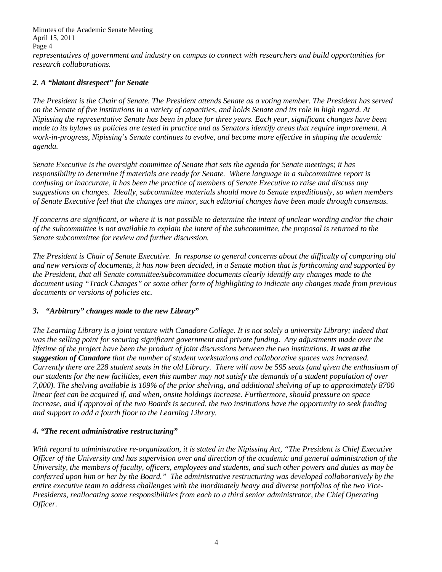Minutes of the Academic Senate Meeting April 15, 2011 Page 4 *representatives of government and industry on campus to connect with researchers and build opportunities for research collaborations.* 

# *2. A "blatant disrespect" for Senate*

*The President is the Chair of Senate. The President attends Senate as a voting member. The President has served on the Senate of five institutions in a variety of capacities, and holds Senate and its role in high regard. At Nipissing the representative Senate has been in place for three years. Each year, significant changes have been made to its bylaws as policies are tested in practice and as Senators identify areas that require improvement. A work-in-progress, Nipissing's Senate continues to evolve, and become more effective in shaping the academic agenda.* 

*Senate Executive is the oversight committee of Senate that sets the agenda for Senate meetings; it has responsibility to determine if materials are ready for Senate. Where language in a subcommittee report is confusing or inaccurate, it has been the practice of members of Senate Executive to raise and discuss any suggestions on changes. Ideally, subcommittee materials should move to Senate expeditiously, so when members of Senate Executive feel that the changes are minor, such editorial changes have been made through consensus.* 

*If concerns are significant, or where it is not possible to determine the intent of unclear wording and/or the chair of the subcommittee is not available to explain the intent of the subcommittee, the proposal is returned to the Senate subcommittee for review and further discussion.* 

*The President is Chair of Senate Executive. In response to general concerns about the difficulty of comparing old and new versions of documents, it has now been decided, in a Senate motion that is forthcoming and supported by the President, that all Senate committee/subcommittee documents clearly identify any changes made to the document using "Track Changes" or some other form of highlighting to indicate any changes made from previous documents or versions of policies etc.* 

# *3. "Arbitrary" changes made to the new Library"*

*The Learning Library is a joint venture with Canadore College. It is not solely a university Library; indeed that was the selling point for securing significant government and private funding. Any adjustments made over the lifetime of the project have been the product of joint discussions between the two institutions. It was at the suggestion of Canadore that the number of student workstations and collaborative spaces was increased. Currently there are 228 student seats in the old Library. There will now be 595 seats (and given the enthusiasm of our students for the new facilities, even this number may not satisfy the demands of a student population of over 7,000). The shelving available is 109% of the prior shelving, and additional shelving of up to approximately 8700 linear feet can be acquired if, and when, onsite holdings increase. Furthermore, should pressure on space increase, and if approval of the two Boards is secured, the two institutions have the opportunity to seek funding and support to add a fourth floor to the Learning Library.*

# *4. "The recent administrative restructuring"*

*With regard to administrative re-organization, it is stated in the Nipissing Act, "The President is Chief Executive Officer of the University and has supervision over and direction of the academic and general administration of the University, the members of faculty, officers, employees and students, and such other powers and duties as may be conferred upon him or her by the Board." The administrative restructuring was developed collaboratively by the entire executive team to address challenges with the inordinately heavy and diverse portfolios of the two Vice-Presidents, reallocating some responsibilities from each to a third senior administrator, the Chief Operating Officer.*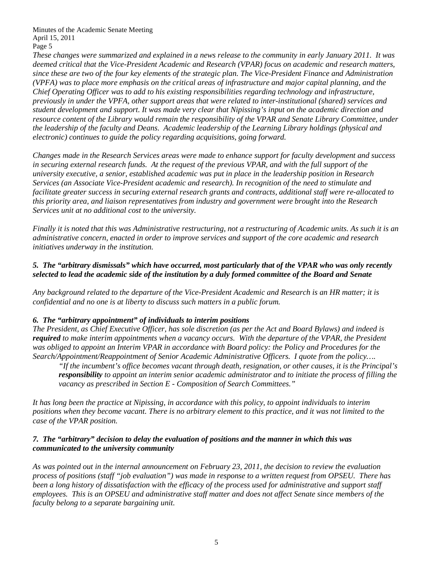*These changes were summarized and explained in a news release to the community in early January 2011. It was deemed critical that the Vice-President Academic and Research (VPAR) focus on academic and research matters, since these are two of the four key elements of the strategic plan. The Vice-President Finance and Administration (VPFA) was to place more emphasis on the critical areas of infrastructure and major capital planning, and the Chief Operating Officer was to add to his existing responsibilities regarding technology and infrastructure, previously in under the VPFA, other support areas that were related to inter-institutional (shared) services and student development and support. It was made very clear that Nipissing's input on the academic direction and resource content of the Library would remain the responsibility of the VPAR and Senate Library Committee, under the leadership of the faculty and Deans. Academic leadership of the Learning Library holdings (physical and electronic) continues to guide the policy regarding acquisitions, going forward.* 

*Changes made in the Research Services areas were made to enhance support for faculty development and success in securing external research funds. At the request of the previous VPAR, and with the full support of the university executive, a senior, established academic was put in place in the leadership position in Research Services (an Associate Vice-President academic and research). In recognition of the need to stimulate and facilitate greater success in securing external research grants and contracts, additional staff were re-allocated to this priority area, and liaison representatives from industry and government were brought into the Research Services unit at no additional cost to the university.* 

*Finally it is noted that this was Administrative restructuring, not a restructuring of Academic units. As such it is an administrative concern, enacted in order to improve services and support of the core academic and research initiatives underway in the institution.*

# *5. The "arbitrary dismissals" which have occurred, most particularly that of the VPAR who was only recently selected to lead the academic side of the institution by a duly formed committee of the Board and Senate*

*Any background related to the departure of the Vice-President Academic and Research is an HR matter; it is confidential and no one is at liberty to discuss such matters in a public forum.* 

# *6. The "arbitrary appointment" of individuals to interim positions*

*The President, as Chief Executive Officer, has sole discretion (as per the Act and Board Bylaws) and indeed is required to make interim appointments when a vacancy occurs. With the departure of the VPAR, the President was obliged to appoint an Interim VPAR in accordance with Board policy: the Policy and Procedures for the Search/Appointment/Reappointment of Senior Academic Administrative Officers. I quote from the policy….*

*"If the incumbent's office becomes vacant through death, resignation, or other causes, it is the Principal's responsibility to appoint an interim senior academic administrator and to initiate the process of filling the vacancy as prescribed in Section E - Composition of Search Committees."* 

*It has long been the practice at Nipissing, in accordance with this policy, to appoint individuals to interim positions when they become vacant. There is no arbitrary element to this practice, and it was not limited to the case of the VPAR position.*

# *7. The "arbitrary" decision to delay the evaluation of positions and the manner in which this was communicated to the university community*

*As was pointed out in the internal announcement on February 23, 2011, the decision to review the evaluation process of positions (staff "job evaluation") was made in response to a written request from OPSEU. There has been a long history of dissatisfaction with the efficacy of the process used for administrative and support staff employees. This is an OPSEU and administrative staff matter and does not affect Senate since members of the faculty belong to a separate bargaining unit.*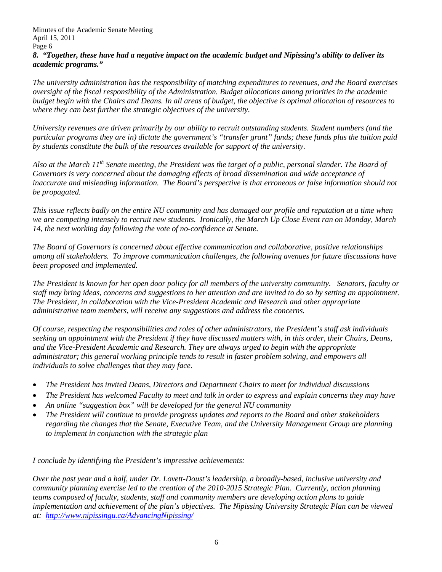Minutes of the Academic Senate Meeting April 15, 2011 Page 6 *8. "Together, these have had a negative impact on the academic budget and Nipissing's ability to deliver its academic programs."*

*The university administration has the responsibility of matching expenditures to revenues, and the Board exercises oversight of the fiscal responsibility of the Administration. Budget allocations among priorities in the academic budget begin with the Chairs and Deans. In all areas of budget, the objective is optimal allocation of resources to where they can best further the strategic objectives of the university.*

*University revenues are driven primarily by our ability to recruit outstanding students. Student numbers (and the particular programs they are in) dictate the government's "transfer grant" funds; these funds plus the tuition paid by students constitute the bulk of the resources available for support of the university.* 

*Also at the March 11th Senate meeting, the President was the target of a public, personal slander. The Board of Governors is very concerned about the damaging effects of broad dissemination and wide acceptance of inaccurate and misleading information. The Board's perspective is that erroneous or false information should not be propagated.* 

*This issue reflects badly on the entire NU community and has damaged our profile and reputation at a time when we are competing intensely to recruit new students. Ironically, the March Up Close Event ran on Monday, March 14, the next working day following the vote of no-confidence at Senate.* 

*The Board of Governors is concerned about effective communication and collaborative, positive relationships among all stakeholders. To improve communication challenges, the following avenues for future discussions have been proposed and implemented.*

*The President is known for her open door policy for all members of the university community. Senators, faculty or staff may bring ideas, concerns and suggestions to her attention and are invited to do so by setting an appointment. The President, in collaboration with the Vice-President Academic and Research and other appropriate administrative team members, will receive any suggestions and address the concerns.* 

*Of course, respecting the responsibilities and roles of other administrators, the President's staff ask individuals seeking an appointment with the President if they have discussed matters with, in this order, their Chairs, Deans, and the Vice-President Academic and Research. They are always urged to begin with the appropriate administrator; this general working principle tends to result in faster problem solving, and empowers all individuals to solve challenges that they may face.* 

- *The President has invited Deans, Directors and Department Chairs to meet for individual discussions*
- *The President has welcomed Faculty to meet and talk in order to express and explain concerns they may have*
- *An online "suggestion box" will be developed for the general NU community*
- *The President will continue to provide progress updates and reports to the Board and other stakeholders regarding the changes that the Senate, Executive Team, and the University Management Group are planning to implement in conjunction with the strategic plan*

*I conclude by identifying the President's impressive achievements:*

*Over the past year and a half, under Dr. Lovett-Doust's leadership, a broadly-based, inclusive university and community planning exercise led to the creation of the 2010-2015 Strategic Plan. Currently, action planning teams composed of faculty, students, staff and community members are developing action plans to guide implementation and achievement of the plan's objectives. The Nipissing University Strategic Plan can be viewed at: <http://www.nipissingu.ca/AdvancingNipissing/>*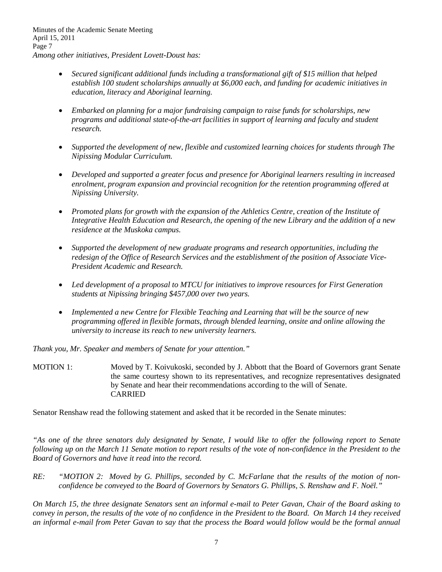- *Secured significant additional funds including a transformational gift of \$15 million that helped establish 100 student scholarships annually at \$6,000 each, and funding for academic initiatives in education, literacy and Aboriginal learning.*
- *Embarked on planning for a major fundraising campaign to raise funds for scholarships, new programs and additional state-of-the-art facilities in support of learning and faculty and student research.*
- *Supported the development of new, flexible and customized learning choices for students through The Nipissing Modular Curriculum.*
- *Developed and supported a greater focus and presence for Aboriginal learners resulting in increased enrolment, program expansion and provincial recognition for the retention programming offered at Nipissing University.*
- *Promoted plans for growth with the expansion of the Athletics Centre, creation of the Institute of Integrative Health Education and Research, the opening of the new Library and the addition of a new residence at the Muskoka campus.*
- *Supported the development of new graduate programs and research opportunities, including the redesign of the Office of Research Services and the establishment of the position of Associate Vice-President Academic and Research.*
- *Led development of a proposal to MTCU for initiatives to improve resources for First Generation students at Nipissing bringing \$457,000 over two years.*
- *Implemented a new Centre for Flexible Teaching and Learning that will be the source of new programming offered in flexible formats, through blended learning, onsite and online allowing the university to increase its reach to new university learners.*

*Thank you, Mr. Speaker and members of Senate for your attention."*

MOTION 1: Moved by T. Koivukoski, seconded by J. Abbott that the Board of Governors grant Senate the same courtesy shown to its representatives, and recognize representatives designated by Senate and hear their recommendations according to the will of Senate. CARRIED

Senator Renshaw read the following statement and asked that it be recorded in the Senate minutes:

*"As one of the three senators duly designated by Senate, I would like to offer the following report to Senate following up on the March 11 Senate motion to report results of the vote of non-confidence in the President to the Board of Governors and have it read into the record.*

RE: "MOTION 2: Moved by G. Phillips, seconded by C. McFarlane that the results of the motion of non*confidence be conveyed to the Board of Governors by Senators G. Phillips, S. Renshaw and F. Noël."*

*On March 15, the three designate Senators sent an informal e-mail to Peter Gavan, Chair of the Board asking to convey in person, the results of the vote of no confidence in the President to the Board. On March 14 they received an informal e-mail from Peter Gavan to say that the process the Board would follow would be the formal annual*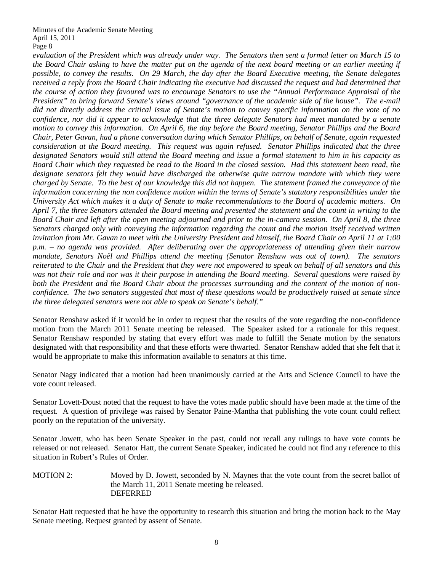*evaluation of the President which was already under way. The Senators then sent a formal letter on March 15 to the Board Chair asking to have the matter put on the agenda of the next board meeting or an earlier meeting if possible, to convey the results. On 29 March, the day after the Board Executive meeting, the Senate delegates received a reply from the Board Chair indicating the executive had discussed the request and had determined that the course of action they favoured was to encourage Senators to use the "Annual Performance Appraisal of the President" to bring forward Senate's views around "governance of the academic side of the house". The e-mail did not directly address the critical issue of Senate's motion to convey specific information on the vote of no confidence, nor did it appear to acknowledge that the three delegate Senators had meet mandated by a senate motion to convey this information. On April 6, the day before the Board meeting, Senator Phillips and the Board Chair, Peter Gavan, had a phone conversation during which Senator Phillips, on behalf of Senate, again requested consideration at the Board meeting. This request was again refused. Senator Phillips indicated that the three designated Senators would still attend the Board meeting and issue a formal statement to him in his capacity as Board Chair which they requested be read to the Board in the closed session. Had this statement been read, the designate senators felt they would have discharged the otherwise quite narrow mandate with which they were charged by Senate. To the best of our knowledge this did not happen. The statement framed the conveyance of the information concerning the non confidence motion within the terms of Senate's statutory responsibilities under the University Act which makes it a duty of Senate to make recommendations to the Board of academic matters. On April 7, the three Senators attended the Board meeting and presented the statement and the count in writing to the Board Chair and left after the open meeting adjourned and prior to the in-camera session. On April 8, the three Senators charged only with conveying the information regarding the count and the motion itself received written invitation from Mr. Gavan to meet with the University President and himself, the Board Chair on April 11 at 1:00 p.m. – no agenda was provided. After deliberating over the appropriateness of attending given their narrow mandate, Senators Noël and Phillips attend the meeting (Senator Renshaw was out of town). The senators reiterated to the Chair and the President that they were not empowered to speak on behalf of all senators and this was not their role and nor was it their purpose in attending the Board meeting. Several questions were raised by both the President and the Board Chair about the processes surrounding and the content of the motion of nonconfidence. The two senators suggested that most of these questions would be productively raised at senate since the three delegated senators were not able to speak on Senate's behalf."*

Senator Renshaw asked if it would be in order to request that the results of the vote regarding the non-confidence motion from the March 2011 Senate meeting be released. The Speaker asked for a rationale for this request. Senator Renshaw responded by stating that every effort was made to fulfill the Senate motion by the senators designated with that responsibility and that these efforts were thwarted. Senator Renshaw added that she felt that it would be appropriate to make this information available to senators at this time.

Senator Nagy indicated that a motion had been unanimously carried at the Arts and Science Council to have the vote count released.

Senator Lovett-Doust noted that the request to have the votes made public should have been made at the time of the request. A question of privilege was raised by Senator Paine-Mantha that publishing the vote count could reflect poorly on the reputation of the university.

Senator Jowett, who has been Senate Speaker in the past, could not recall any rulings to have vote counts be released or not released. Senator Hatt, the current Senate Speaker, indicated he could not find any reference to this situation in Robert's Rules of Order.

MOTION 2: Moved by D. Jowett, seconded by N. Maynes that the vote count from the secret ballot of the March 11, 2011 Senate meeting be released. DEFERRED

Senator Hatt requested that he have the opportunity to research this situation and bring the motion back to the May Senate meeting. Request granted by assent of Senate.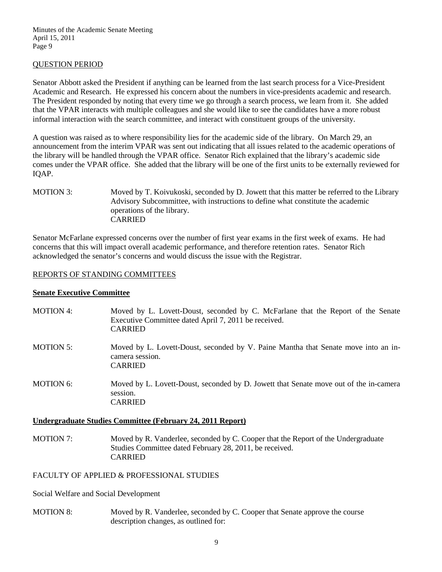### QUESTION PERIOD

Senator Abbott asked the President if anything can be learned from the last search process for a Vice-President Academic and Research. He expressed his concern about the numbers in vice-presidents academic and research. The President responded by noting that every time we go through a search process, we learn from it. She added that the VPAR interacts with multiple colleagues and she would like to see the candidates have a more robust informal interaction with the search committee, and interact with constituent groups of the university.

A question was raised as to where responsibility lies for the academic side of the library. On March 29, an announcement from the interim VPAR was sent out indicating that all issues related to the academic operations of the library will be handled through the VPAR office. Senator Rich explained that the library's academic side comes under the VPAR office. She added that the library will be one of the first units to be externally reviewed for IQAP.

MOTION 3: Moved by T. Koivukoski, seconded by D. Jowett that this matter be referred to the Library Advisory Subcommittee, with instructions to define what constitute the academic operations of the library. CARRIED

Senator McFarlane expressed concerns over the number of first year exams in the first week of exams. He had concerns that this will impact overall academic performance, and therefore retention rates. Senator Rich acknowledged the senator's concerns and would discuss the issue with the Registrar.

#### REPORTS OF STANDING COMMITTEES

#### **Senate Executive Committee**

| <b>MOTION 4:</b> | Moved by L. Lovett-Doust, seconded by C. McFarlane that the Report of the Senate<br>Executive Committee dated April 7, 2011 be received.<br><b>CARRIED</b> |
|------------------|------------------------------------------------------------------------------------------------------------------------------------------------------------|
| <b>MOTION 5:</b> | Moved by L. Lovett-Doust, seconded by V. Paine Mantha that Senate move into an in-<br>camera session.<br><b>CARRIED</b>                                    |
| <b>MOTION 6:</b> | Moved by L. Lovett-Doust, seconded by D. Jowett that Senate move out of the in-camera<br>session.<br>CARRIED                                               |

#### **Undergraduate Studies Committee (February 24, 2011 Report)**

MOTION 7: Moved by R. Vanderlee, seconded by C. Cooper that the Report of the Undergraduate Studies Committee dated February 28, 2011, be received. CARRIED

FACULTY OF APPLIED & PROFESSIONAL STUDIES

Social Welfare and Social Development

MOTION 8: Moved by R. Vanderlee, seconded by C. Cooper that Senate approve the course description changes, as outlined for: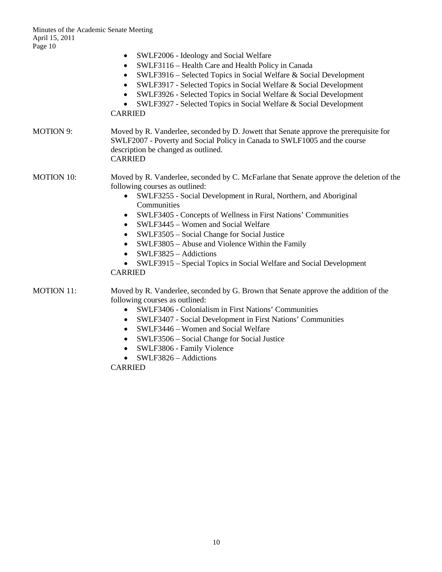|                   | SWLF2006 - Ideology and Social Welfare<br>$\bullet$                                                                                                                                                                         |
|-------------------|-----------------------------------------------------------------------------------------------------------------------------------------------------------------------------------------------------------------------------|
|                   | SWLF3116 – Health Care and Health Policy in Canada                                                                                                                                                                          |
|                   | SWLF3916 - Selected Topics in Social Welfare & Social Development<br>$\bullet$                                                                                                                                              |
|                   | SWLF3917 - Selected Topics in Social Welfare & Social Development<br>$\bullet$                                                                                                                                              |
|                   | SWLF3926 - Selected Topics in Social Welfare & Social Development                                                                                                                                                           |
|                   | SWLF3927 - Selected Topics in Social Welfare & Social Development<br><b>CARRIED</b>                                                                                                                                         |
| <b>MOTION 9:</b>  | Moved by R. Vanderlee, seconded by D. Jowett that Senate approve the prerequisite for<br>SWLF2007 - Poverty and Social Policy in Canada to SWLF1005 and the course<br>description be changed as outlined.<br><b>CARRIED</b> |
| <b>MOTION 10:</b> | Moved by R. Vanderlee, seconded by C. McFarlane that Senate approve the deletion of the<br>following courses as outlined:                                                                                                   |
|                   | SWLF3255 - Social Development in Rural, Northern, and Aboriginal<br>Communities                                                                                                                                             |
|                   | SWLF3405 - Concepts of Wellness in First Nations' Communities<br>$\bullet$                                                                                                                                                  |
|                   | SWLF3445 - Women and Social Welfare<br>$\bullet$                                                                                                                                                                            |
|                   | SWLF3505 - Social Change for Social Justice<br>٠                                                                                                                                                                            |
|                   | SWLF3805 - Abuse and Violence Within the Family<br>$\bullet$                                                                                                                                                                |
|                   | SWLF3825 - Addictions                                                                                                                                                                                                       |
|                   | SWLF3915 - Special Topics in Social Welfare and Social Development<br><b>CARRIED</b>                                                                                                                                        |
| <b>MOTION 11:</b> | Moved by R. Vanderlee, seconded by G. Brown that Senate approve the addition of the<br>following courses as outlined:                                                                                                       |
|                   | <b>SWLF3406 - Colonialism in First Nations' Communities</b>                                                                                                                                                                 |
|                   | SWLF3407 - Social Development in First Nations' Communities<br>٠                                                                                                                                                            |
|                   | SWLF3446 – Women and Social Welfare                                                                                                                                                                                         |
|                   | SWLF3506 – Social Change for Social Justice<br>$\bullet$                                                                                                                                                                    |
|                   | SWLF3806 - Family Violence                                                                                                                                                                                                  |
|                   | $\alpha$                                                                                                                                                                                                                    |

• SWLF3826 – Addictions

CARRIED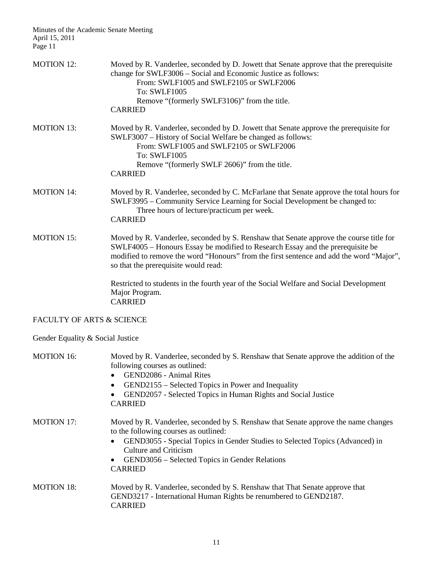| <b>MOTION 12:</b>                    | Moved by R. Vanderlee, seconded by D. Jowett that Senate approve that the prerequisite<br>change for SWLF3006 - Social and Economic Justice as follows:<br>From: SWLF1005 and SWLF2105 or SWLF2006<br><b>To: SWLF1005</b>                                                                                       |
|--------------------------------------|-----------------------------------------------------------------------------------------------------------------------------------------------------------------------------------------------------------------------------------------------------------------------------------------------------------------|
|                                      | Remove "(formerly SWLF3106)" from the title.<br><b>CARRIED</b>                                                                                                                                                                                                                                                  |
| <b>MOTION 13:</b>                    | Moved by R. Vanderlee, seconded by D. Jowett that Senate approve the prerequisite for<br>SWLF3007 – History of Social Welfare be changed as follows:<br>From: SWLF1005 and SWLF2105 or SWLF2006<br><b>To: SWLF1005</b><br>Remove "(formerly SWLF 2606)" from the title.<br><b>CARRIED</b>                       |
| <b>MOTION 14:</b>                    | Moved by R. Vanderlee, seconded by C. McFarlane that Senate approve the total hours for<br>SWLF3995 – Community Service Learning for Social Development be changed to:<br>Three hours of lecture/practicum per week.<br><b>CARRIED</b>                                                                          |
| <b>MOTION 15:</b>                    | Moved by R. Vanderlee, seconded by S. Renshaw that Senate approve the course title for<br>SWLF4005 – Honours Essay be modified to Research Essay and the prerequisite be<br>modified to remove the word "Honours" from the first sentence and add the word "Major",<br>so that the prerequisite would read:     |
|                                      | Restricted to students in the fourth year of the Social Welfare and Social Development<br>Major Program.<br><b>CARRIED</b>                                                                                                                                                                                      |
| <b>FACULTY OF ARTS &amp; SCIENCE</b> |                                                                                                                                                                                                                                                                                                                 |
| Gender Equality & Social Justice     |                                                                                                                                                                                                                                                                                                                 |
| <b>MOTION 16:</b>                    | Moved by R. Vanderlee, seconded by S. Renshaw that Senate approve the addition of the<br>following courses as outlined:<br>GEND2086 - Animal Rites<br>GEND2155 – Selected Topics in Power and Inequality<br>GEND2057 - Selected Topics in Human Rights and Social Justice<br><b>CARRIED</b>                     |
| <b>MOTION 17:</b>                    | Moved by R. Vanderlee, seconded by S. Renshaw that Senate approve the name changes<br>to the following courses as outlined:<br>GEND3055 - Special Topics in Gender Studies to Selected Topics (Advanced) in<br><b>Culture and Criticism</b><br>GEND3056 - Selected Topics in Gender Relations<br><b>CARRIED</b> |
| <b>MOTION 18:</b>                    | Moved by R. Vanderlee, seconded by S. Renshaw that That Senate approve that<br>GEND3217 - International Human Rights be renumbered to GEND2187.<br><b>CARRIED</b>                                                                                                                                               |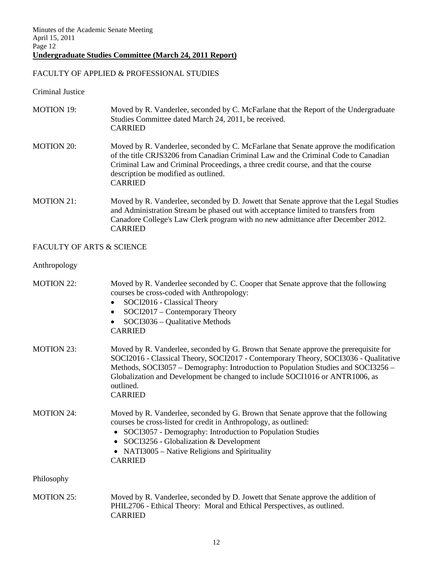# FACULTY OF APPLIED & PROFESSIONAL STUDIES

Criminal Justice

| <b>MOTION 19:</b>         | Moved by R. Vanderlee, seconded by C. McFarlane that the Report of the Undergraduate<br>Studies Committee dated March 24, 2011, be received.<br><b>CARRIED</b>                                                                                                                                                                                                                  |
|---------------------------|---------------------------------------------------------------------------------------------------------------------------------------------------------------------------------------------------------------------------------------------------------------------------------------------------------------------------------------------------------------------------------|
| <b>MOTION 20:</b>         | Moved by R. Vanderlee, seconded by C. McFarlane that Senate approve the modification<br>of the title CRJS3206 from Canadian Criminal Law and the Criminal Code to Canadian<br>Criminal Law and Criminal Proceedings, a three credit course, and that the course<br>description be modified as outlined.<br><b>CARRIED</b>                                                       |
| <b>MOTION 21:</b>         | Moved by R. Vanderlee, seconded by D. Jowett that Senate approve that the Legal Studies<br>and Administration Stream be phased out with acceptance limited to transfers from<br>Canadore College's Law Clerk program with no new admittance after December 2012.<br><b>CARRIED</b>                                                                                              |
| FACULTY OF ARTS & SCIENCE |                                                                                                                                                                                                                                                                                                                                                                                 |
| Anthropology              |                                                                                                                                                                                                                                                                                                                                                                                 |
| <b>MOTION 22:</b>         | Moved by R. Vanderlee seconded by C. Cooper that Senate approve that the following<br>courses be cross-coded with Anthropology:<br>SOCI2016 - Classical Theory<br>SOCI2017 - Contemporary Theory<br>٠<br>SOCI3036 - Qualitative Methods<br><b>CARRIED</b>                                                                                                                       |
| <b>MOTION 23:</b>         | Moved by R. Vanderlee, seconded by G. Brown that Senate approve the prerequisite for<br>SOCI2016 - Classical Theory, SOCI2017 - Contemporary Theory, SOCI3036 - Qualitative<br>Methods, SOCI3057 – Demography: Introduction to Population Studies and SOCI3256 –<br>Globalization and Development be changed to include SOCI1016 or ANTR1006, as<br>outlined.<br><b>CARRIED</b> |
| <b>MOTION 24:</b>         | Moved by R. Vanderlee, seconded by G. Brown that Senate approve that the following<br>courses be cross-listed for credit in Anthropology, as outlined:<br>SOCI3057 - Demography: Introduction to Population Studies<br>SOCI3256 - Globalization & Development<br>NATI3005 – Native Religions and Spirituality<br><b>CARRIED</b>                                                 |
| Philosophy                |                                                                                                                                                                                                                                                                                                                                                                                 |
| <b>MOTION 25:</b>         | Moved by R. Vanderlee, seconded by D. Jowett that Senate approve the addition of<br>PHIL2706 - Ethical Theory: Moral and Ethical Perspectives, as outlined.<br><b>CARRIED</b>                                                                                                                                                                                                   |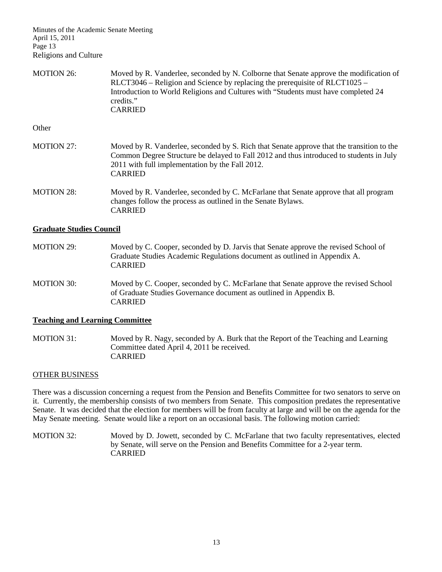Minutes of the Academic Senate Meeting April 15, 2011 Page 13 Religions and Culture

MOTION 26: Moved by R. Vanderlee, seconded by N. Colborne that Senate approve the modification of RLCT3046 – Religion and Science by replacing the prerequisite of RLCT1025 – Introduction to World Religions and Cultures with "Students must have completed 24 credits." CARRIED

**Other** 

- MOTION 27: Moved by R. Vanderlee, seconded by S. Rich that Senate approve that the transition to the Common Degree Structure be delayed to Fall 2012 and thus introduced to students in July 2011 with full implementation by the Fall 2012. CARRIED MOTION 28: Moved by R. Vanderlee, seconded by C. McFarlane that Senate approve that all program changes follow the process as outlined in the Senate Bylaws.
- **Graduate Studies Council**

CARRIED

- MOTION 29: Moved by C. Cooper, seconded by D. Jarvis that Senate approve the revised School of Graduate Studies Academic Regulations document as outlined in Appendix A. CARRIED
- MOTION 30: Moved by C. Cooper, seconded by C. McFarlane that Senate approve the revised School of Graduate Studies Governance document as outlined in Appendix B. CARRIED

#### **Teaching and Learning Committee**

MOTION 31: Moved by R. Nagy, seconded by A. Burk that the Report of the Teaching and Learning Committee dated April 4, 2011 be received. CARRIED

#### OTHER BUSINESS

There was a discussion concerning a request from the Pension and Benefits Committee for two senators to serve on it. Currently, the membership consists of two members from Senate. This composition predates the representative Senate. It was decided that the election for members will be from faculty at large and will be on the agenda for the May Senate meeting. Senate would like a report on an occasional basis. The following motion carried:

MOTION 32: Moved by D. Jowett, seconded by C. McFarlane that two faculty representatives, elected by Senate, will serve on the Pension and Benefits Committee for a 2-year term. CARRIED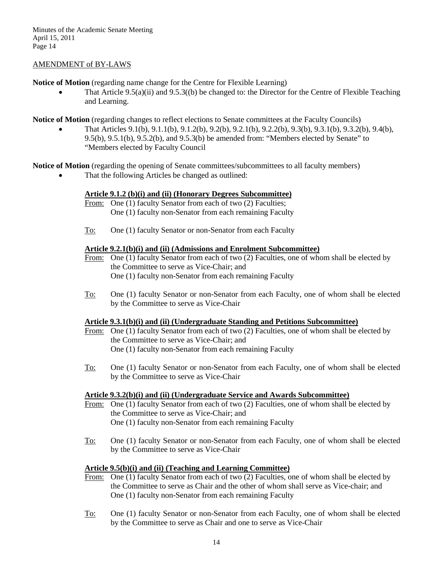#### AMENDMENT of BY-LAWS

**Notice of Motion** (regarding name change for the Centre for Flexible Learning)

That Article  $9.5(a)(ii)$  and  $9.5.3((b)$  be changed to: the Director for the Centre of Flexible Teaching and Learning.

**Notice of Motion** (regarding changes to reflect elections to Senate committees at the Faculty Councils)

• That Articles 9.1(b), 9.1.1(b), 9.1.2(b), 9.2(b), 9.2.1(b), 9.2.2(b), 9.3(b), 9.3.1(b), 9.3.2(b), 9.4(b), 9.5(b), 9.5.1(b), 9.5.2(b), and 9.5.3(b) be amended from: "Members elected by Senate" to "Members elected by Faculty Council

**Notice of Motion** (regarding the opening of Senate committees/subcommittees to all faculty members)

That the following Articles be changed as outlined:

# **Article 9.1.2 (b)(i) and (ii) (Honorary Degrees Subcommittee)**

- From: One (1) faculty Senator from each of two (2) Faculties; One (1) faculty non-Senator from each remaining Faculty
- To: One (1) faculty Senator or non-Senator from each Faculty

#### **Article 9.2.1(b)(i) and (ii) (Admissions and Enrolment Subcommittee)**

- From: One (1) faculty Senator from each of two (2) Faculties, one of whom shall be elected by the Committee to serve as Vice-Chair; and One (1) faculty non-Senator from each remaining Faculty
- To: One (1) faculty Senator or non-Senator from each Faculty, one of whom shall be elected by the Committee to serve as Vice-Chair

# **Article 9.3.1(b)(i) and (ii) (Undergraduate Standing and Petitions Subcommittee)**

- From: One (1) faculty Senator from each of two (2) Faculties, one of whom shall be elected by the Committee to serve as Vice-Chair; and One (1) faculty non-Senator from each remaining Faculty
- To: One (1) faculty Senator or non-Senator from each Faculty, one of whom shall be elected by the Committee to serve as Vice-Chair

# **Article 9.3.2(b)(i) and (ii) (Undergraduate Service and Awards Subcommittee)**

- From: One (1) faculty Senator from each of two (2) Faculties, one of whom shall be elected by the Committee to serve as Vice-Chair; and One (1) faculty non-Senator from each remaining Faculty
- To: One (1) faculty Senator or non-Senator from each Faculty, one of whom shall be elected by the Committee to serve as Vice-Chair

# **Article 9.5(b)(i) and (ii) (Teaching and Learning Committee)**

- From: One (1) faculty Senator from each of two (2) Faculties, one of whom shall be elected by the Committee to serve as Chair and the other of whom shall serve as Vice-chair; and One (1) faculty non-Senator from each remaining Faculty
- To: One (1) faculty Senator or non-Senator from each Faculty, one of whom shall be elected by the Committee to serve as Chair and one to serve as Vice-Chair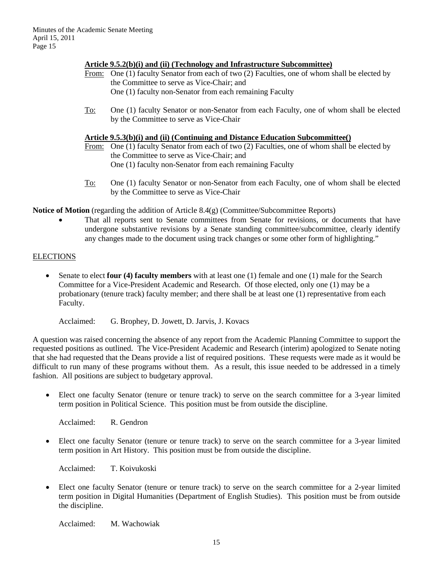#### **Article 9.5.2(b)(i) and (ii) (Technology and Infrastructure Subcommittee)**

- From: One (1) faculty Senator from each of two (2) Faculties, one of whom shall be elected by the Committee to serve as Vice-Chair; and One (1) faculty non-Senator from each remaining Faculty
- To: One (1) faculty Senator or non-Senator from each Faculty, one of whom shall be elected by the Committee to serve as Vice-Chair

#### **Article 9.5.3(b)(i) and (ii) (Continuing and Distance Education Subcommittee()**

- From: One (1) faculty Senator from each of two (2) Faculties, one of whom shall be elected by the Committee to serve as Vice-Chair; and One (1) faculty non-Senator from each remaining Faculty
- To: One (1) faculty Senator or non-Senator from each Faculty, one of whom shall be elected by the Committee to serve as Vice-Chair

**Notice of Motion** (regarding the addition of Article 8.4(g) (Committee/Subcommittee Reports)

That all reports sent to Senate committees from Senate for revisions, or documents that have undergone substantive revisions by a Senate standing committee/subcommittee, clearly identify any changes made to the document using track changes or some other form of highlighting."

# ELECTIONS

- Senate to elect **four (4) faculty members** with at least one (1) female and one (1) male for the Search Committee for a Vice-President Academic and Research. Of those elected, only one (1) may be a probationary (tenure track) faculty member; and there shall be at least one (1) representative from each Faculty.
	- Acclaimed: G. Brophey, D. Jowett, D. Jarvis, J. Kovacs

A question was raised concerning the absence of any report from the Academic Planning Committee to support the requested positions as outlined. The Vice-President Academic and Research (interim) apologized to Senate noting that she had requested that the Deans provide a list of required positions. These requests were made as it would be difficult to run many of these programs without them. As a result, this issue needed to be addressed in a timely fashion. All positions are subject to budgetary approval.

• Elect one faculty Senator (tenure or tenure track) to serve on the search committee for a 3-year limited term position in Political Science. This position must be from outside the discipline.

Acclaimed: R. Gendron

• Elect one faculty Senator (tenure or tenure track) to serve on the search committee for a 3-year limited term position in Art History. This position must be from outside the discipline.

Acclaimed: T. Koivukoski

• Elect one faculty Senator (tenure or tenure track) to serve on the search committee for a 2-year limited term position in Digital Humanities (Department of English Studies). This position must be from outside the discipline.

Acclaimed: M. Wachowiak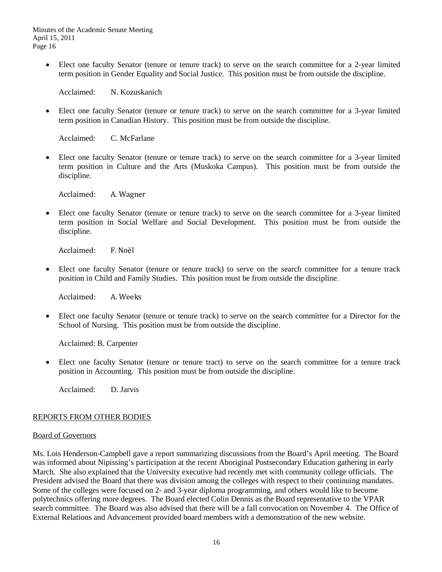• Elect one faculty Senator (tenure or tenure track) to serve on the search committee for a 2-year limited term position in Gender Equality and Social Justice. This position must be from outside the discipline.

Acclaimed: N. Kozuskanich

• Elect one faculty Senator (tenure or tenure track) to serve on the search committee for a 3-year limited term position in Canadian History. This position must be from outside the discipline.

Acclaimed: C. McFarlane

• Elect one faculty Senator (tenure or tenure track) to serve on the search committee for a 3-year limited term position in Culture and the Arts (Muskoka Campus). This position must be from outside the discipline.

Acclaimed: A. Wagner

• Elect one faculty Senator (tenure or tenure track) to serve on the search committee for a 3-year limited term position in Social Welfare and Social Development. This position must be from outside the discipline.

Acclaimed: F. Noël

• Elect one faculty Senator (tenure or tenure track) to serve on the search committee for a tenure track position in Child and Family Studies. This position must be from outside the discipline.

Acclaimed: A. Weeks

• Elect one faculty Senator (tenure or tenure track) to serve on the search committee for a Director for the School of Nursing. This position must be from outside the discipline.

Acclaimed: B. Carpenter

• Elect one faculty Senator (tenure or tenure tract) to serve on the search committee for a tenure track position in Accounting. This position must be from outside the discipline.

Acclaimed: D. Jarvis

# REPORTS FROM OTHER BODIES

#### Board of Governors

Ms. Lois Henderson-Campbell gave a report summarizing discussions from the Board's April meeting. The Board was informed about Nipissing's participation at the recent Aboriginal Postsecondary Education gathering in early March. She also explained that the University executive had recently met with community college officials. The President advised the Board that there was division among the colleges with respect to their continuing mandates. Some of the colleges were focused on 2- and 3-year diploma programming, and others would like to become polytechnics offering more degrees. The Board elected Colin Dennis as the Board representative to the VPAR search committee. The Board was also advised that there will be a fall convocation on November 4. The Office of External Relations and Advancement provided board members with a demonstration of the new website.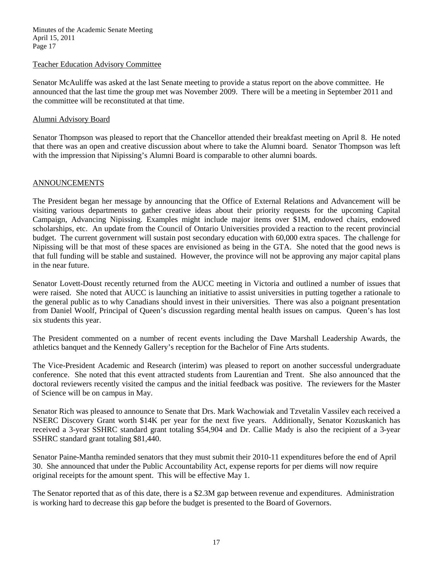#### Teacher Education Advisory Committee

Senator McAuliffe was asked at the last Senate meeting to provide a status report on the above committee. He announced that the last time the group met was November 2009. There will be a meeting in September 2011 and the committee will be reconstituted at that time.

### Alumni Advisory Board

Senator Thompson was pleased to report that the Chancellor attended their breakfast meeting on April 8. He noted that there was an open and creative discussion about where to take the Alumni board. Senator Thompson was left with the impression that Nipissing's Alumni Board is comparable to other alumni boards.

#### ANNOUNCEMENTS

The President began her message by announcing that the Office of External Relations and Advancement will be visiting various departments to gather creative ideas about their priority requests for the upcoming Capital Campaign, Advancing Nipissing. Examples might include major items over \$1M, endowed chairs, endowed scholarships, etc. An update from the Council of Ontario Universities provided a reaction to the recent provincial budget. The current government will sustain post secondary education with 60,000 extra spaces. The challenge for Nipissing will be that most of these spaces are envisioned as being in the GTA. She noted that the good news is that full funding will be stable and sustained. However, the province will not be approving any major capital plans in the near future.

Senator Lovett-Doust recently returned from the AUCC meeting in Victoria and outlined a number of issues that were raised. She noted that AUCC is launching an initiative to assist universities in putting together a rationale to the general public as to why Canadians should invest in their universities. There was also a poignant presentation from Daniel Woolf, Principal of Queen's discussion regarding mental health issues on campus. Queen's has lost six students this year.

The President commented on a number of recent events including the Dave Marshall Leadership Awards, the athletics banquet and the Kennedy Gallery's reception for the Bachelor of Fine Arts students.

The Vice-President Academic and Research (interim) was pleased to report on another successful undergraduate conference. She noted that this event attracted students from Laurentian and Trent. She also announced that the doctoral reviewers recently visited the campus and the initial feedback was positive. The reviewers for the Master of Science will be on campus in May.

Senator Rich was pleased to announce to Senate that Drs. Mark Wachowiak and Tzvetalin Vassilev each received a NSERC Discovery Grant worth \$14K per year for the next five years. Additionally, Senator Kozuskanich has received a 3-year SSHRC standard grant totaling \$54,904 and Dr. Callie Mady is also the recipient of a 3-year SSHRC standard grant totaling \$81,440.

Senator Paine-Mantha reminded senators that they must submit their 2010-11 expenditures before the end of April 30. She announced that under the Public Accountability Act, expense reports for per diems will now require original receipts for the amount spent. This will be effective May 1.

The Senator reported that as of this date, there is a \$2.3M gap between revenue and expenditures. Administration is working hard to decrease this gap before the budget is presented to the Board of Governors.